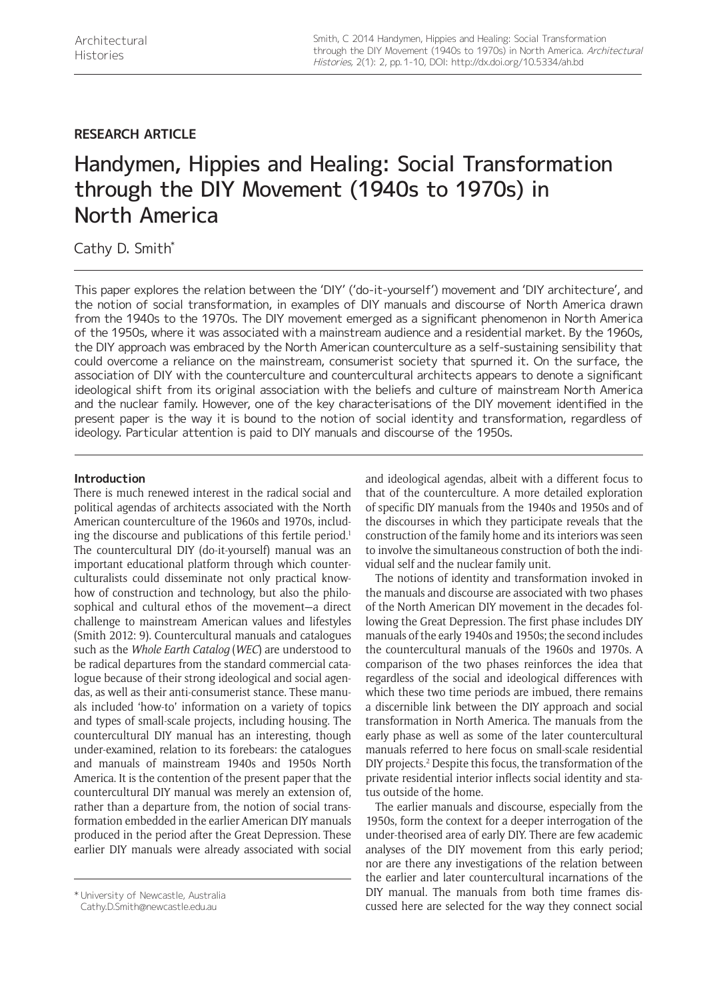# **RESEARCH ARTICLE**

# Handymen, Hippies and Healing: Social Transformation through the DIY Movement (1940s to 1970s) in North America

# Cathy D. Smith\*

This paper explores the relation between the 'DIY' ('do-it-yourself') movement and 'DIY architecture', and the notion of social transformation, in examples of DIY manuals and discourse of North America drawn from the 1940s to the 1970s. The DIY movement emerged as a significant phenomenon in North America of the 1950s, where it was associated with a mainstream audience and a residential market. By the 1960s, the DIY approach was embraced by the North American counterculture as a self-sustaining sensibility that could overcome a reliance on the mainstream, consumerist society that spurned it. On the surface, the association of DIY with the counterculture and countercultural architects appears to denote a significant ideological shift from its original association with the beliefs and culture of mainstream North America and the nuclear family. However, one of the key characterisations of the DIY movement identified in the present paper is the way it is bound to the notion of social identity and transformation, regardless of ideology. Particular attention is paid to DIY manuals and discourse of the 1950s.

# **Introduction**

There is much renewed interest in the radical social and political agendas of architects associated with the North American counterculture of the 1960s and 1970s, including the discourse and publications of this fertile period.<sup>1</sup> The countercultural DIY (do-it-yourself) manual was an important educational platform through which counterculturalists could disseminate not only practical knowhow of construction and technology, but also the philosophical and cultural ethos of the movement—a direct challenge to mainstream American values and lifestyles (Smith 2012: 9). Countercultural manuals and catalogues such as the *Whole Earth Catalog* (*WEC*) are understood to be radical departures from the standard commercial catalogue because of their strong ideological and social agendas, as well as their anti-consumerist stance. These manuals included 'how-to' information on a variety of topics and types of small-scale projects, including housing. The countercultural DIY manual has an interesting, though under-examined, relation to its forebears: the catalogues and manuals of mainstream 1940s and 1950s North America. It is the contention of the present paper that the countercultural DIY manual was merely an extension of, rather than a departure from, the notion of social transformation embedded in the earlier American DIY manuals produced in the period after the Great Depression. These earlier DIY manuals were already associated with social

[Cathy.D.Smith@newcastle.edu.au](mailto:Cathy.D.Smith@newcastle.edu.au)

and ideological agendas, albeit with a different focus to that of the counterculture. A more detailed exploration of specific DIY manuals from the 1940s and 1950s and of the discourses in which they participate reveals that the construction of the family home and its interiors was seen to involve the simultaneous construction of both the individual self and the nuclear family unit.

The notions of identity and transformation invoked in the manuals and discourse are associated with two phases of the North American DIY movement in the decades following the Great Depression. The first phase includes DIY manuals of the early 1940s and 1950s; the second includes the countercultural manuals of the 1960s and 1970s. A comparison of the two phases reinforces the idea that regardless of the social and ideological differences with which these two time periods are imbued, there remains a discernible link between the DIY approach and social transformation in North America. The manuals from the early phase as well as some of the later countercultural manuals referred to here focus on small-scale residential DIY projects.<sup>2</sup> Despite this focus, the transformation of the private residential interior inflects social identity and status outside of the home.

The earlier manuals and discourse, especially from the 1950s, form the context for a deeper interrogation of the under-theorised area of early DIY. There are few academic analyses of the DIY movement from this early period; nor are there any investigations of the relation between the earlier and later countercultural incarnations of the DIY manual. The manuals from both time frames dist University of Newcastle, Australia **the selected for the way the Manual. Ine manuals from both time frames dis**<br>CathyD.Smith@newcastle.edu.au **they** cussed here are selected for the way they connect social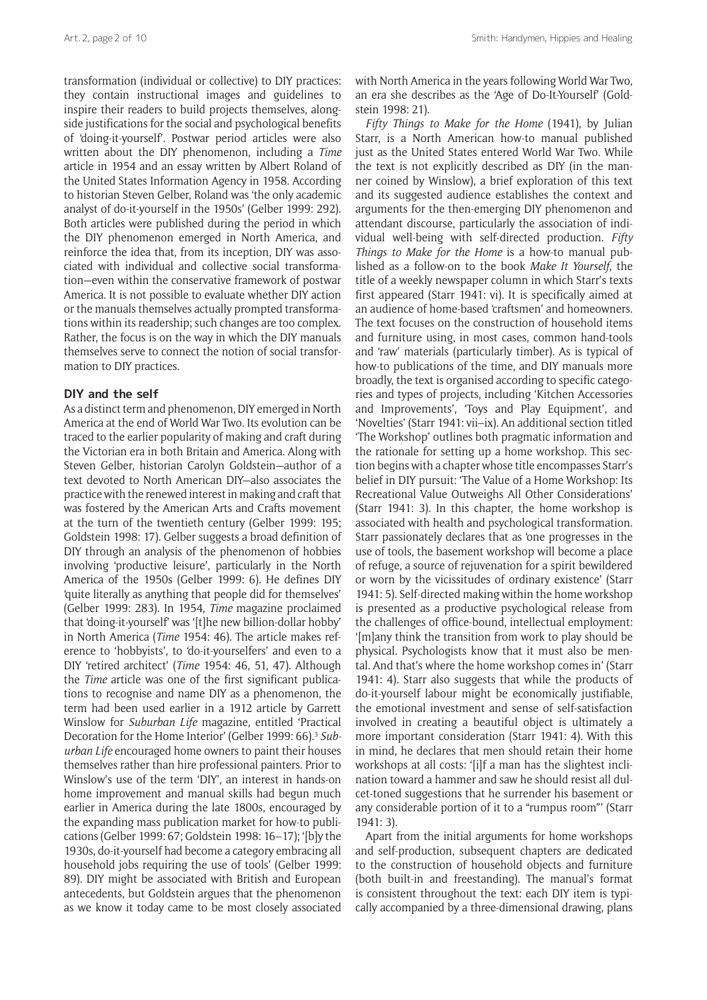transformation (individual or collective) to DIY practices: they contain instructional images and guidelines to inspire their readers to build projects themselves, alongside justifications for the social and psychological benefits of 'doing-it-yourself'. Postwar period articles were also written about the DIY phenomenon, including a *Time* article in 1954 and an essay written by Albert Roland of the United States Information Agency in 1958. According to historian Steven Gelber, Roland was 'the only academic analyst of do-it-yourself in the 1950s' (Gelber 1999: 292). Both articles were published during the period in which the DIY phenomenon emerged in North America, and reinforce the idea that, from its inception, DIY was associated with individual and collective social transformation—even within the conservative framework of postwar America. It is not possible to evaluate whether DIY action or the manuals themselves actually prompted transformations within its readership; such changes are too complex. Rather, the focus is on the way in which the DIY manuals themselves serve to connect the notion of social transformation to DIY practices.

## **DIY and the self**

As a distinct term and phenomenon, DIY emerged in North America at the end of World War Two. Its evolution can be traced to the earlier popularity of making and craft during the Victorian era in both Britain and America. Along with Steven Gelber, historian Carolyn Goldstein—author of a text devoted to North American DIY—also associates the practice with the renewed interest in making and craft that was fostered by the American Arts and Crafts movement at the turn of the twentieth century (Gelber 1999: 195; Goldstein 1998: 17). Gelber suggests a broad definition of DIY through an analysis of the phenomenon of hobbies involving 'productive leisure', particularly in the North America of the 1950s (Gelber 1999: 6). He defines DIY 'quite literally as anything that people did for themselves' (Gelber 1999: 283). In 1954, *Time* magazine proclaimed that 'doing-it-yourself' was '[t]he new billion-dollar hobby' in North America (*Time* 1954: 46). The article makes reference to 'hobbyists', to 'do-it-yourselfers' and even to a DIY 'retired architect' (*Time* 1954: 46, 51, 47). Although the *Time* article was one of the first significant publications to recognise and name DIY as a phenomenon, the term had been used earlier in a 1912 article by Garrett Winslow for *Suburban Life* magazine, entitled 'Practical Decoration for the Home Interior' (Gelber 1999: 66).<sup>3</sup> Sub*urban Life* encouraged home owners to paint their houses themselves rather than hire professional painters. Prior to Winslow's use of the term 'DIY', an interest in hands-on home improvement and manual skills had begun much earlier in America during the late 1800s, encouraged by the expanding mass publication market for how-to publications (Gelber 1999: 67; Goldstein 1998: 16–17); '[b]y the 1930s, do-it-yourself had become a category embracing all household jobs requiring the use of tools' (Gelber 1999: 89). DIY might be associated with British and European antecedents, but Goldstein argues that the phenomenon as we know it today came to be most closely associated with North America in the years following World War Two, an era she describes as the 'Age of Do-It-Yourself' (Goldstein 1998: 21).

*Fifty Things to Make for the Home* (1941), by Julian Starr, is a North American how-to manual published just as the United States entered World War Two. While the text is not explicitly described as DIY (in the manner coined by Winslow), a brief exploration of this text and its suggested audience establishes the context and arguments for the then-emerging DIY phenomenon and attendant discourse, particularly the association of individual well-being with self-directed production. *Fifty Things to Make for the Home* is a how-to manual published as a follow-on to the book *Make It Yourself*, the title of a weekly newspaper column in which Starr's texts first appeared (Starr 1941: vi). It is specifically aimed at an audience of home-based 'craftsmen' and homeowners. The text focuses on the construction of household items and furniture using, in most cases, common hand-tools and 'raw' materials (particularly timber). As is typical of how-to publications of the time, and DIY manuals more broadly, the text is organised according to specific categories and types of projects, including 'Kitchen Accessories and Improvements', 'Toys and Play Equipment', and 'Novelties' (Starr 1941: vii–ix). An additional section titled 'The Workshop' outlines both pragmatic information and the rationale for setting up a home workshop. This section begins with a chapter whose title encompasses Starr's belief in DIY pursuit: 'The Value of a Home Workshop: Its Recreational Value Outweighs All Other Considerations' (Starr 1941: 3). In this chapter, the home workshop is associated with health and psychological transformation. Starr passionately declares that as 'one progresses in the use of tools, the basement workshop will become a place of refuge, a source of rejuvenation for a spirit bewildered or worn by the vicissitudes of ordinary existence' (Starr 1941: 5). Self-directed making within the home workshop is presented as a productive psychological release from the challenges of office-bound, intellectual employment: '[m]any think the transition from work to play should be physical. Psychologists know that it must also be mental. And that's where the home workshop comes in' (Starr 1941: 4). Starr also suggests that while the products of do-it-yourself labour might be economically justifiable, the emotional investment and sense of self-satisfaction involved in creating a beautiful object is ultimately a more important consideration (Starr 1941: 4). With this in mind, he declares that men should retain their home workshops at all costs: '[i]f a man has the slightest inclination toward a hammer and saw he should resist all dulcet-toned suggestions that he surrender his basement or any considerable portion of it to a "rumpus room"' (Starr 1941: 3).

Apart from the initial arguments for home workshops and self-production, subsequent chapters are dedicated to the construction of household objects and furniture (both built-in and freestanding). The manual's format is consistent throughout the text: each DIY item is typically accompanied by a three-dimensional drawing, plans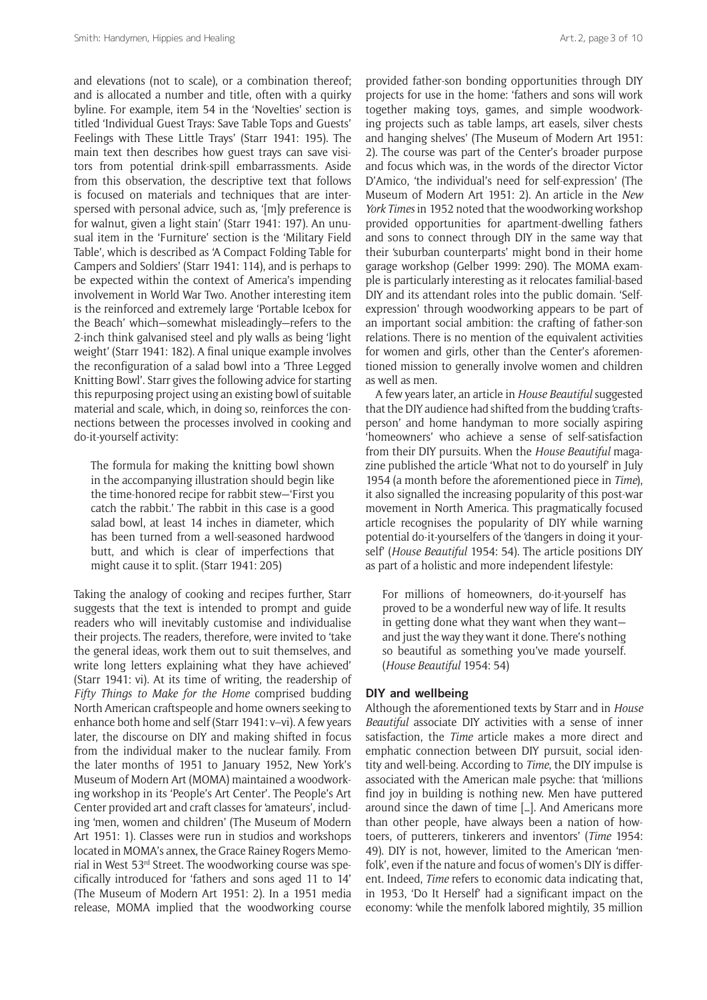and elevations (not to scale), or a combination thereof; and is allocated a number and title, often with a quirky byline. For example, item 54 in the 'Novelties' section is titled 'Individual Guest Trays: Save Table Tops and Guests' Feelings with These Little Trays' (Starr 1941: 195). The main text then describes how guest trays can save visitors from potential drink-spill embarrassments. Aside from this observation, the descriptive text that follows is focused on materials and techniques that are interspersed with personal advice, such as, '[m]y preference is for walnut, given a light stain' (Starr 1941: 197). An unusual item in the 'Furniture' section is the 'Military Field Table', which is described as 'A Compact Folding Table for Campers and Soldiers' (Starr 1941: 114), and is perhaps to be expected within the context of America's impending involvement in World War Two. Another interesting item is the reinforced and extremely large 'Portable Icebox for the Beach' which—somewhat misleadingly—refers to the 2-inch think galvanised steel and ply walls as being 'light weight' (Starr 1941: 182). A final unique example involves the reconfiguration of a salad bowl into a 'Three Legged Knitting Bowl'. Starr gives the following advice for starting this repurposing project using an existing bowl of suitable material and scale, which, in doing so, reinforces the connections between the processes involved in cooking and do-it-yourself activity:

The formula for making the knitting bowl shown in the accompanying illustration should begin like the time-honored recipe for rabbit stew—'First you catch the rabbit.' The rabbit in this case is a good salad bowl, at least 14 inches in diameter, which has been turned from a well-seasoned hardwood butt, and which is clear of imperfections that might cause it to split. (Starr 1941: 205)

Taking the analogy of cooking and recipes further, Starr suggests that the text is intended to prompt and guide readers who will inevitably customise and individualise their projects. The readers, therefore, were invited to 'take the general ideas, work them out to suit themselves, and write long letters explaining what they have achieved' (Starr 1941: vi). At its time of writing, the readership of *Fifty Things to Make for the Home* comprised budding North American craftspeople and home owners seeking to enhance both home and self (Starr 1941: v–vi). A few years later, the discourse on DIY and making shifted in focus from the individual maker to the nuclear family. From the later months of 1951 to January 1952, New York's Museum of Modern Art (MOMA) maintained a woodworking workshop in its 'People's Art Center'. The People's Art Center provided art and craft classes for 'amateurs', including 'men, women and children' (The Museum of Modern Art 1951: 1). Classes were run in studios and workshops located in MOMA's annex, the Grace Rainey Rogers Memorial in West 53rd Street. The woodworking course was specifically introduced for 'fathers and sons aged 11 to 14' (The Museum of Modern Art 1951: 2). In a 1951 media release, MOMA implied that the woodworking course

provided father-son bonding opportunities through DIY projects for use in the home: 'fathers and sons will work together making toys, games, and simple woodworking projects such as table lamps, art easels, silver chests and hanging shelves' (The Museum of Modern Art 1951: 2). The course was part of the Center's broader purpose and focus which was, in the words of the director Victor D'Amico, 'the individual's need for self-expression' (The Museum of Modern Art 1951: 2). An article in the *New York Times* in 1952 noted that the woodworking workshop provided opportunities for apartment-dwelling fathers and sons to connect through DIY in the same way that their 'suburban counterparts' might bond in their home garage workshop (Gelber 1999: 290). The MOMA example is particularly interesting as it relocates familial-based DIY and its attendant roles into the public domain. 'Selfexpression' through woodworking appears to be part of an important social ambition: the crafting of father-son relations. There is no mention of the equivalent activities for women and girls, other than the Center's aforementioned mission to generally involve women and children as well as men.

A few years later, an article in *House Beautiful* suggested that the DIY audience had shifted from the budding 'craftsperson' and home handyman to more socially aspiring 'homeowners' who achieve a sense of self-satisfaction from their DIY pursuits. When the *House Beautiful* magazine published the article 'What not to do yourself' in July 1954 (a month before the aforementioned piece in *Time*), it also signalled the increasing popularity of this post-war movement in North America. This pragmatically focused article recognises the popularity of DIY while warning potential do-it-yourselfers of the 'dangers in doing it yourself' (*House Beautiful* 1954: 54). The article positions DIY as part of a holistic and more independent lifestyle:

For millions of homeowners, do-it-yourself has proved to be a wonderful new way of life. It results in getting done what they want when they want and just the way they want it done. There's nothing so beautiful as something you've made yourself. (*House Beautiful* 1954: 54)

## **DIY and wellbeing**

Although the aforementioned texts by Starr and in *House Beautiful* associate DIY activities with a sense of inner satisfaction, the *Time* article makes a more direct and emphatic connection between DIY pursuit, social identity and well-being. According to *Time*, the DIY impulse is associated with the American male psyche: that 'millions find joy in building is nothing new. Men have puttered around since the dawn of time […]. And Americans more than other people, have always been a nation of howtoers, of putterers, tinkerers and inventors' (*Time* 1954: 49). DIY is not, however, limited to the American 'menfolk', even if the nature and focus of women's DIY is different. Indeed, *Time* refers to economic data indicating that, in 1953, 'Do It Herself' had a significant impact on the economy: 'while the menfolk labored mightily, 35 million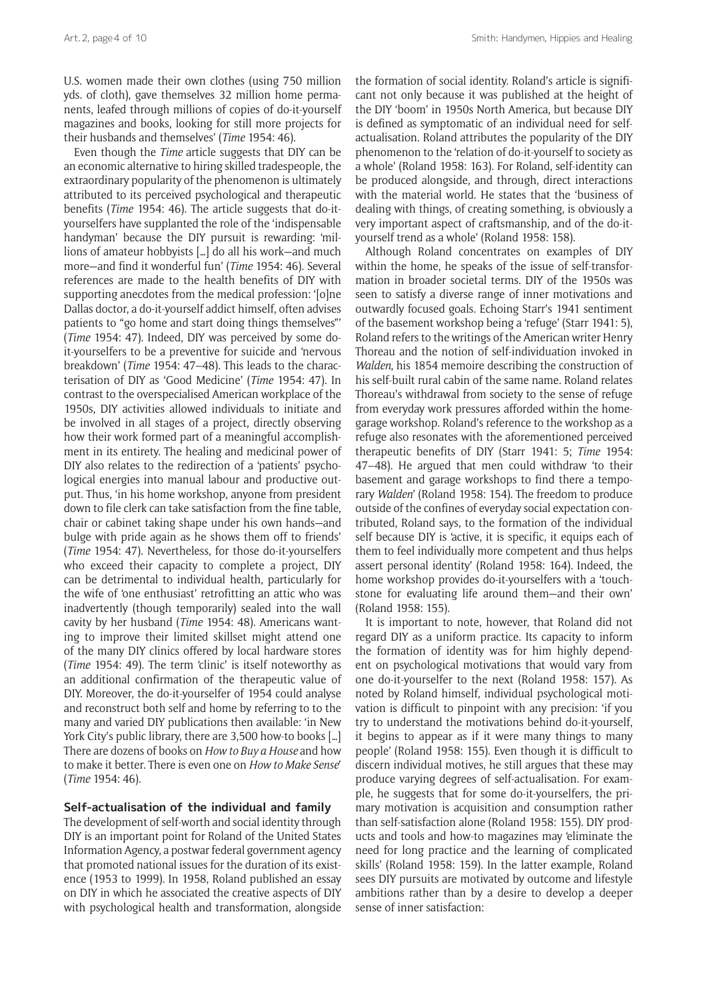U.S. women made their own clothes (using 750 million yds. of cloth), gave themselves 32 million home permanents, leafed through millions of copies of do-it-yourself magazines and books, looking for still more projects for their husbands and themselves' (*Time* 1954: 46).

Even though the *Time* article suggests that DIY can be an economic alternative to hiring skilled tradespeople, the extraordinary popularity of the phenomenon is ultimately attributed to its perceived psychological and therapeutic benefits (*Time* 1954: 46). The article suggests that do-ityourselfers have supplanted the role of the 'indispensable handyman' because the DIY pursuit is rewarding: 'millions of amateur hobbyists […] do all his work—and much more—and find it wonderful fun' (*Time* 1954: 46). Several references are made to the health benefits of DIY with supporting anecdotes from the medical profession: '[o]ne Dallas doctor, a do-it-yourself addict himself, often advises patients to "go home and start doing things themselves"' (*Time* 1954: 47). Indeed, DIY was perceived by some doit-yourselfers to be a preventive for suicide and 'nervous breakdown' (*Time* 1954: 47–48). This leads to the characterisation of DIY as 'Good Medicine' (*Time* 1954: 47). In contrast to the overspecialised American workplace of the 1950s, DIY activities allowed individuals to initiate and be involved in all stages of a project, directly observing how their work formed part of a meaningful accomplishment in its entirety. The healing and medicinal power of DIY also relates to the redirection of a 'patients' psychological energies into manual labour and productive output. Thus, 'in his home workshop, anyone from president down to file clerk can take satisfaction from the fine table, chair or cabinet taking shape under his own hands—and bulge with pride again as he shows them off to friends' (*Time* 1954: 47). Nevertheless, for those do-it-yourselfers who exceed their capacity to complete a project, DIY can be detrimental to individual health, particularly for the wife of 'one enthusiast' retrofitting an attic who was inadvertently (though temporarily) sealed into the wall cavity by her husband (*Time* 1954: 48). Americans wanting to improve their limited skillset might attend one of the many DIY clinics offered by local hardware stores (*Time* 1954: 49). The term 'clinic' is itself noteworthy as an additional confirmation of the therapeutic value of DIY. Moreover, the do-it-yourselfer of 1954 could analyse and reconstruct both self and home by referring to to the many and varied DIY publications then available: 'in New York City's public library, there are 3,500 how-to books [...] There are dozens of books on *How to Buy a House* and how to make it better. There is even one on *How to Make Sense*' (*Time* 1954: 46).

#### **Self-actualisation of the individual and family**

The development of self-worth and social identity through DIY is an important point for Roland of the United States Information Agency, a postwar federal government agency that promoted national issues for the duration of its existence (1953 to 1999). In 1958, Roland published an essay on DIY in which he associated the creative aspects of DIY with psychological health and transformation, alongside

the formation of social identity. Roland's article is significant not only because it was published at the height of the DIY 'boom' in 1950s North America, but because DIY is defined as symptomatic of an individual need for selfactualisation. Roland attributes the popularity of the DIY phenomenon to the 'relation of do-it-yourself to society as a whole' (Roland 1958: 163). For Roland, self-identity can be produced alongside, and through, direct interactions with the material world. He states that the 'business of dealing with things, of creating something, is obviously a very important aspect of craftsmanship, and of the do-ityourself trend as a whole' (Roland 1958: 158).

Although Roland concentrates on examples of DIY within the home, he speaks of the issue of self-transformation in broader societal terms. DIY of the 1950s was seen to satisfy a diverse range of inner motivations and outwardly focused goals. Echoing Starr's 1941 sentiment of the basement workshop being a 'refuge' (Starr 1941: 5), Roland refers to the writings of the American writer Henry Thoreau and the notion of self-individuation invoked in *Walden*, his 1854 memoire describing the construction of his self-built rural cabin of the same name. Roland relates Thoreau's withdrawal from society to the sense of refuge from everyday work pressures afforded within the homegarage workshop. Roland's reference to the workshop as a refuge also resonates with the aforementioned perceived therapeutic benefits of DIY (Starr 1941: 5; *Time* 1954: 47–48). He argued that men could withdraw 'to their basement and garage workshops to find there a temporary *Walden*' (Roland 1958: 154). The freedom to produce outside of the confines of everyday social expectation contributed, Roland says, to the formation of the individual self because DIY is 'active, it is specific, it equips each of them to feel individually more competent and thus helps assert personal identity' (Roland 1958: 164). Indeed, the home workshop provides do-it-yourselfers with a 'touchstone for evaluating life around them—and their own' (Roland 1958: 155).

It is important to note, however, that Roland did not regard DIY as a uniform practice. Its capacity to inform the formation of identity was for him highly dependent on psychological motivations that would vary from one do-it-yourselfer to the next (Roland 1958: 157). As noted by Roland himself, individual psychological motivation is difficult to pinpoint with any precision: 'if you try to understand the motivations behind do-it-yourself, it begins to appear as if it were many things to many people' (Roland 1958: 155). Even though it is difficult to discern individual motives, he still argues that these may produce varying degrees of self-actualisation. For example, he suggests that for some do-it-yourselfers, the primary motivation is acquisition and consumption rather than self-satisfaction alone (Roland 1958: 155). DIY products and tools and how-to magazines may 'eliminate the need for long practice and the learning of complicated skills' (Roland 1958: 159). In the latter example, Roland sees DIY pursuits are motivated by outcome and lifestyle ambitions rather than by a desire to develop a deeper sense of inner satisfaction: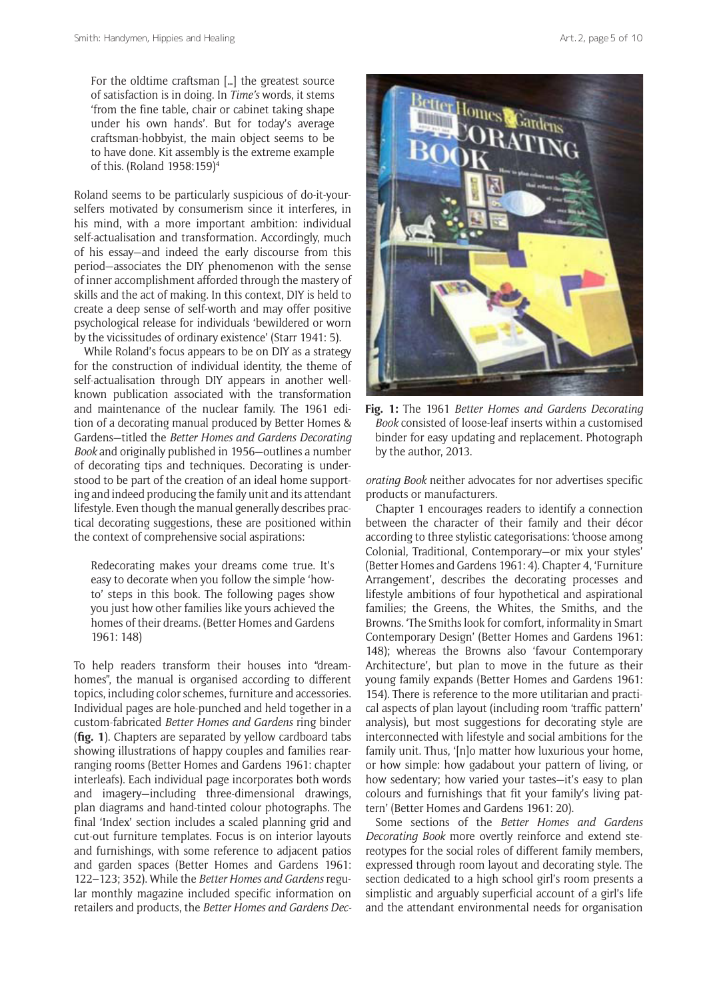For the oldtime craftsman […] the greatest source of satisfaction is in doing. In *Time's* words, it stems 'from the fine table, chair or cabinet taking shape under his own hands'. But for today's average craftsman-hobbyist, the main object seems to be to have done. Kit assembly is the extreme example of this. (Roland 1958:159)4

Roland seems to be particularly suspicious of do-it-yourselfers motivated by consumerism since it interferes, in his mind, with a more important ambition: individual self-actualisation and transformation. Accordingly, much of his essay—and indeed the early discourse from this period—associates the DIY phenomenon with the sense of inner accomplishment afforded through the mastery of skills and the act of making. In this context, DIY is held to create a deep sense of self-worth and may offer positive psychological release for individuals 'bewildered or worn by the vicissitudes of ordinary existence' (Starr 1941: 5).

While Roland's focus appears to be on DIY as a strategy for the construction of individual identity, the theme of self-actualisation through DIY appears in another wellknown publication associated with the transformation and maintenance of the nuclear family. The 1961 edition of a decorating manual produced by Better Homes & Gardens—titled the *Better Homes and Gardens Decorating Book* and originally published in 1956—outlines a number of decorating tips and techniques. Decorating is understood to be part of the creation of an ideal home supporting and indeed producing the family unit and its attendant lifestyle. Even though the manual generally describes practical decorating suggestions, these are positioned within the context of comprehensive social aspirations:

Redecorating makes your dreams come true. It's easy to decorate when you follow the simple 'howto' steps in this book. The following pages show you just how other families like yours achieved the homes of their dreams. (Better Homes and Gardens 1961: 148)

To help readers transform their houses into "dreamhomes", the manual is organised according to different topics, including color schemes, furniture and accessories. Individual pages are hole-punched and held together in a custom-fabricated *Better Homes and Gardens* ring binder (**fig. 1**). Chapters are separated by yellow cardboard tabs showing illustrations of happy couples and families rearranging rooms (Better Homes and Gardens 1961: chapter interleafs). Each individual page incorporates both words and imagery—including three-dimensional drawings, plan diagrams and hand-tinted colour photographs. The final 'Index' section includes a scaled planning grid and cut-out furniture templates. Focus is on interior layouts and furnishings, with some reference to adjacent patios and garden spaces (Better Homes and Gardens 1961: 122–123; 352). While the *Better Homes and Gardens* regular monthly magazine included specific information on retailers and products, the *Better Homes and Gardens Dec-*



**Fig. 1:** The 1961 *Better Homes and Gardens Decorating Book* consisted of loose-leaf inserts within a customised binder for easy updating and replacement. Photograph by the author, 2013.

*orating Book* neither advocates for nor advertises specific products or manufacturers.

Chapter 1 encourages readers to identify a connection between the character of their family and their décor according to three stylistic categorisations: 'choose among Colonial, Traditional, Contemporary—or mix your styles' (Better Homes and Gardens 1961: 4). Chapter 4, 'Furniture Arrangement', describes the decorating processes and lifestyle ambitions of four hypothetical and aspirational families; the Greens, the Whites, the Smiths, and the Browns. 'The Smiths look for comfort, informality in Smart Contemporary Design' (Better Homes and Gardens 1961: 148); whereas the Browns also 'favour Contemporary Architecture', but plan to move in the future as their young family expands (Better Homes and Gardens 1961: 154). There is reference to the more utilitarian and practical aspects of plan layout (including room 'traffic pattern' analysis), but most suggestions for decorating style are interconnected with lifestyle and social ambitions for the family unit. Thus, '[n]o matter how luxurious your home, or how simple: how gadabout your pattern of living, or how sedentary; how varied your tastes—it's easy to plan colours and furnishings that fit your family's living pattern' (Better Homes and Gardens 1961: 20).

Some sections of the *Better Homes and Gardens Decorating Book* more overtly reinforce and extend stereotypes for the social roles of different family members, expressed through room layout and decorating style. The section dedicated to a high school girl's room presents a simplistic and arguably superficial account of a girl's life and the attendant environmental needs for organisation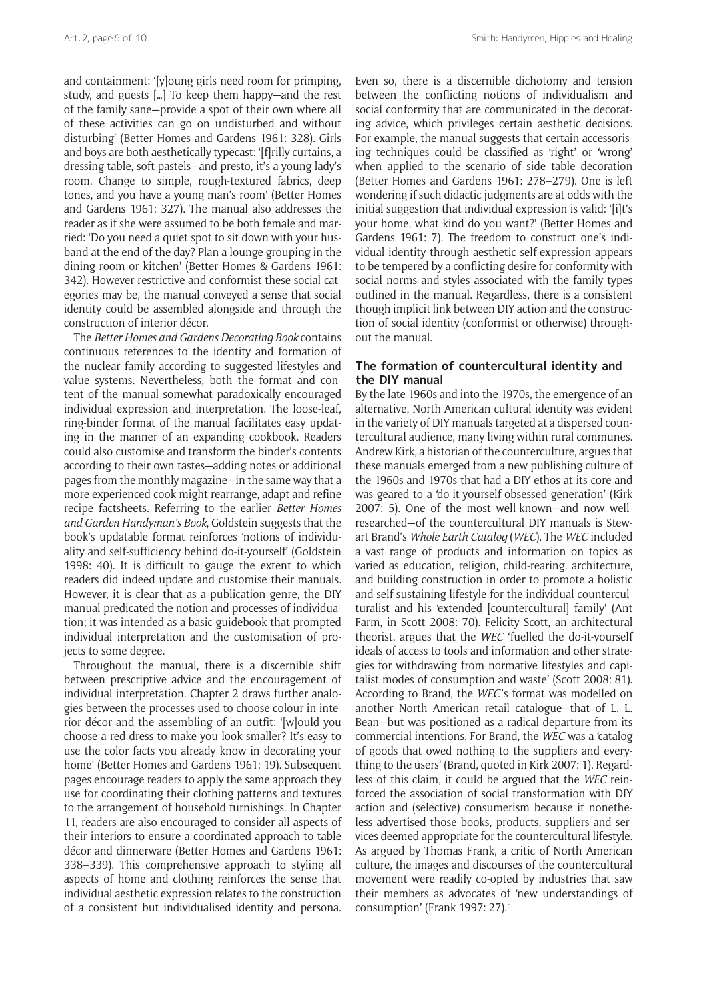Art. 2, page 6 of 10 Smith: Handymen, Hippies and Healing

and containment: '[y]oung girls need room for primping, study, and guests […] To keep them happy—and the rest of the family sane—provide a spot of their own where all of these activities can go on undisturbed and without disturbing' (Better Homes and Gardens 1961: 328). Girls and boys are both aesthetically typecast: '[f]rilly curtains, a dressing table, soft pastels—and presto, it's a young lady's room. Change to simple, rough-textured fabrics, deep tones, and you have a young man's room' (Better Homes and Gardens 1961: 327). The manual also addresses the reader as if she were assumed to be both female and married: 'Do you need a quiet spot to sit down with your husband at the end of the day? Plan a lounge grouping in the dining room or kitchen' (Better Homes & Gardens 1961: 342). However restrictive and conformist these social categories may be, the manual conveyed a sense that social identity could be assembled alongside and through the construction of interior décor.

The *Better Homes and Gardens Decorating Book* contains continuous references to the identity and formation of the nuclear family according to suggested lifestyles and value systems. Nevertheless, both the format and content of the manual somewhat paradoxically encouraged individual expression and interpretation. The loose-leaf, ring-binder format of the manual facilitates easy updating in the manner of an expanding cookbook. Readers could also customise and transform the binder's contents according to their own tastes—adding notes or additional pages from the monthly magazine—in the same way that a more experienced cook might rearrange, adapt and refine recipe factsheets. Referring to the earlier *Better Homes and Garden Handyman's Book*, Goldstein suggests that the book's updatable format reinforces 'notions of individuality and self-sufficiency behind do-it-yourself' (Goldstein 1998: 40). It is difficult to gauge the extent to which readers did indeed update and customise their manuals. However, it is clear that as a publication genre, the DIY manual predicated the notion and processes of individuation; it was intended as a basic guidebook that prompted individual interpretation and the customisation of projects to some degree.

Throughout the manual, there is a discernible shift between prescriptive advice and the encouragement of individual interpretation. Chapter 2 draws further analogies between the processes used to choose colour in interior décor and the assembling of an outfit: '[w]ould you choose a red dress to make you look smaller? It's easy to use the color facts you already know in decorating your home' (Better Homes and Gardens 1961: 19). Subsequent pages encourage readers to apply the same approach they use for coordinating their clothing patterns and textures to the arrangement of household furnishings. In Chapter 11, readers are also encouraged to consider all aspects of their interiors to ensure a coordinated approach to table décor and dinnerware (Better Homes and Gardens 1961: 338–339). This comprehensive approach to styling all aspects of home and clothing reinforces the sense that individual aesthetic expression relates to the construction of a consistent but individualised identity and persona.

Even so, there is a discernible dichotomy and tension between the conflicting notions of individualism and social conformity that are communicated in the decorating advice, which privileges certain aesthetic decisions. For example, the manual suggests that certain accessorising techniques could be classified as 'right' or 'wrong' when applied to the scenario of side table decoration (Better Homes and Gardens 1961: 278–279). One is left wondering if such didactic judgments are at odds with the initial suggestion that individual expression is valid: '[i]t's your home, what kind do you want?' (Better Homes and Gardens 1961: 7). The freedom to construct one's individual identity through aesthetic self-expression appears to be tempered by a conflicting desire for conformity with social norms and styles associated with the family types outlined in the manual. Regardless, there is a consistent though implicit link between DIY action and the construction of social identity (conformist or otherwise) throughout the manual.

## **The formation of countercultural identity and the DIY manual**

By the late 1960s and into the 1970s, the emergence of an alternative, North American cultural identity was evident in the variety of DIY manuals targeted at a dispersed countercultural audience, many living within rural communes. Andrew Kirk, a historian of the counterculture, argues that these manuals emerged from a new publishing culture of the 1960s and 1970s that had a DIY ethos at its core and was geared to a 'do-it-yourself-obsessed generation' (Kirk 2007: 5). One of the most well-known—and now wellresearched—of the countercultural DIY manuals is Stewart Brand's *Whole Earth Catalog* (*WEC*). The *WEC* included a vast range of products and information on topics as varied as education, religion, child-rearing, architecture, and building construction in order to promote a holistic and self-sustaining lifestyle for the individual counterculturalist and his 'extended [countercultural] family' (Ant Farm, in Scott 2008: 70). Felicity Scott, an architectural theorist, argues that the *WEC* 'fuelled the do-it-yourself ideals of access to tools and information and other strategies for withdrawing from normative lifestyles and capitalist modes of consumption and waste' (Scott 2008: 81). According to Brand, the *WEC*'s format was modelled on another North American retail catalogue—that of L. L. Bean—but was positioned as a radical departure from its commercial intentions. For Brand, the *WEC* was a 'catalog of goods that owed nothing to the suppliers and everything to the users' (Brand, quoted in Kirk 2007: 1). Regardless of this claim, it could be argued that the *WEC* reinforced the association of social transformation with DIY action and (selective) consumerism because it nonetheless advertised those books, products, suppliers and services deemed appropriate for the countercultural lifestyle. As argued by Thomas Frank, a critic of North American culture, the images and discourses of the countercultural movement were readily co-opted by industries that saw their members as advocates of 'new understandings of consumption' (Frank 1997: 27).<sup>5</sup>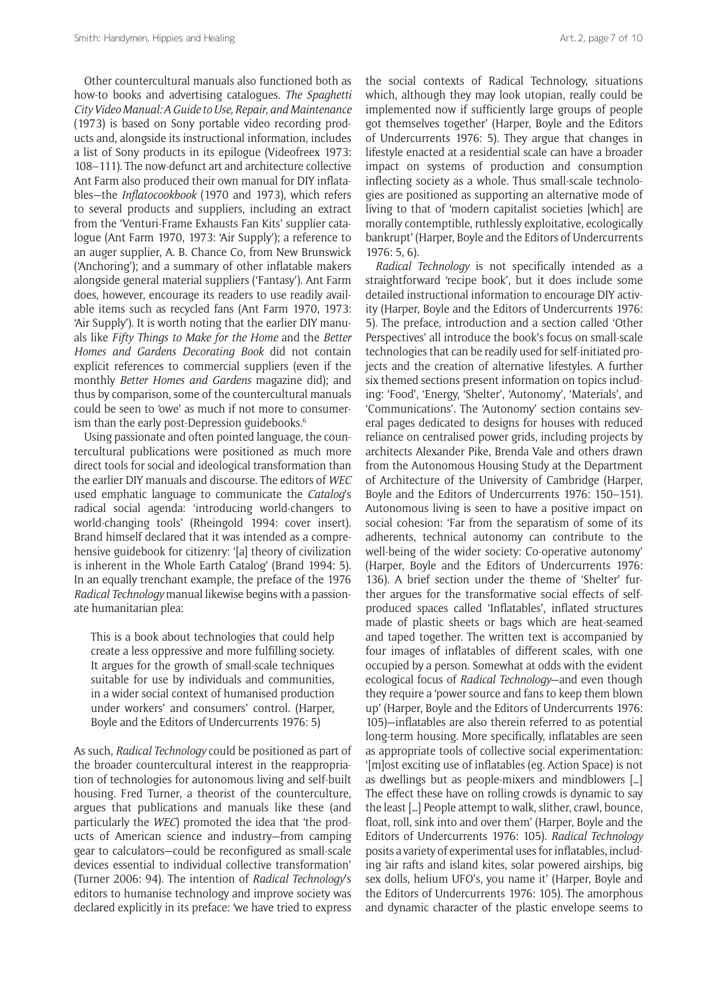Other countercultural manuals also functioned both as how-to books and advertising catalogues. *The Spaghetti City Video Manual: A Guide to Use, Repair, and Maintenance*  (1973) is based on Sony portable video recording products and, alongside its instructional information, includes a list of Sony products in its epilogue (Videofreex 1973: 108–111). The now-defunct art and architecture collective Ant Farm also produced their own manual for DIY inflatables—the *Inflatocookbook* (1970 and 1973), which refers to several products and suppliers, including an extract from the 'Venturi-Frame Exhausts Fan Kits' supplier catalogue (Ant Farm 1970, 1973: 'Air Supply'); a reference to an auger supplier, A. B. Chance Co, from New Brunswick ('Anchoring'); and a summary of other inflatable makers alongside general material suppliers ('Fantasy'). Ant Farm does, however, encourage its readers to use readily available items such as recycled fans (Ant Farm 1970, 1973: 'Air Supply'). It is worth noting that the earlier DIY manuals like *Fifty Things to Make for the Home* and the *Better Homes and Gardens Decorating Book* did not contain explicit references to commercial suppliers (even if the monthly *Better Homes and Gardens* magazine did); and thus by comparison, some of the countercultural manuals could be seen to 'owe' as much if not more to consumerism than the early post-Depression guidebooks.<sup>6</sup>

Using passionate and often pointed language, the countercultural publications were positioned as much more direct tools for social and ideological transformation than the earlier DIY manuals and discourse. The editors of *WEC* used emphatic language to communicate the *Catalog*'s radical social agenda: 'introducing world-changers to world-changing tools' (Rheingold 1994: cover insert). Brand himself declared that it was intended as a comprehensive guidebook for citizenry: '[a] theory of civilization is inherent in the Whole Earth Catalog' (Brand 1994: 5). In an equally trenchant example, the preface of the 1976 *Radical Technology* manual likewise begins with a passionate humanitarian plea:

This is a book about technologies that could help create a less oppressive and more fulfilling society. It argues for the growth of small-scale techniques suitable for use by individuals and communities, in a wider social context of humanised production under workers' and consumers' control. (Harper, Boyle and the Editors of Undercurrents 1976: 5)

As such, *Radical Technology* could be positioned as part of the broader countercultural interest in the reappropriation of technologies for autonomous living and self-built housing. Fred Turner, a theorist of the counterculture, argues that publications and manuals like these (and particularly the *WEC*) promoted the idea that 'the products of American science and industry—from camping gear to calculators—could be reconfigured as small-scale devices essential to individual collective transformation' (Turner 2006: 94). The intention of *Radical Technology*'s editors to humanise technology and improve society was declared explicitly in its preface: 'we have tried to express the social contexts of Radical Technology, situations which, although they may look utopian, really could be implemented now if sufficiently large groups of people got themselves together' (Harper, Boyle and the Editors of Undercurrents 1976: 5). They argue that changes in lifestyle enacted at a residential scale can have a broader impact on systems of production and consumption inflecting society as a whole. Thus small-scale technologies are positioned as supporting an alternative mode of living to that of 'modern capitalist societies [which] are morally contemptible, ruthlessly exploitative, ecologically bankrupt' (Harper, Boyle and the Editors of Undercurrents 1976: 5, 6).

*Radical Technology* is not specifically intended as a straightforward 'recipe book', but it does include some detailed instructional information to encourage DIY activity (Harper, Boyle and the Editors of Undercurrents 1976: 5). The preface, introduction and a section called 'Other Perspectives' all introduce the book's focus on small-scale technologies that can be readily used for self-initiated projects and the creation of alternative lifestyles. A further six themed sections present information on topics including: 'Food', 'Energy, 'Shelter', 'Autonomy', 'Materials', and 'Communications'. The 'Autonomy' section contains several pages dedicated to designs for houses with reduced reliance on centralised power grids, including projects by architects Alexander Pike, Brenda Vale and others drawn from the Autonomous Housing Study at the Department of Architecture of the University of Cambridge (Harper, Boyle and the Editors of Undercurrents 1976: 150–151). Autonomous living is seen to have a positive impact on social cohesion: 'Far from the separatism of some of its adherents, technical autonomy can contribute to the well-being of the wider society: Co-operative autonomy' (Harper, Boyle and the Editors of Undercurrents 1976: 136). A brief section under the theme of 'Shelter' further argues for the transformative social effects of selfproduced spaces called 'Inflatables', inflated structures made of plastic sheets or bags which are heat-seamed and taped together. The written text is accompanied by four images of inflatables of different scales, with one occupied by a person. Somewhat at odds with the evident ecological focus of *Radical Technology*—and even though they require a 'power source and fans to keep them blown up' (Harper, Boyle and the Editors of Undercurrents 1976: 105)—inflatables are also therein referred to as potential long-term housing. More specifically, inflatables are seen as appropriate tools of collective social experimentation: '[m]ost exciting use of inflatables (eg. Action Space) is not as dwellings but as people-mixers and mindblowers […] The effect these have on rolling crowds is dynamic to say the least […] People attempt to walk, slither, crawl, bounce, float, roll, sink into and over them' (Harper, Boyle and the Editors of Undercurrents 1976: 105). *Radical Technology* posits a variety of experimental uses for inflatables, including 'air rafts and island kites, solar powered airships, big sex dolls, helium UFO's, you name it' (Harper, Boyle and the Editors of Undercurrents 1976: 105). The amorphous and dynamic character of the plastic envelope seems to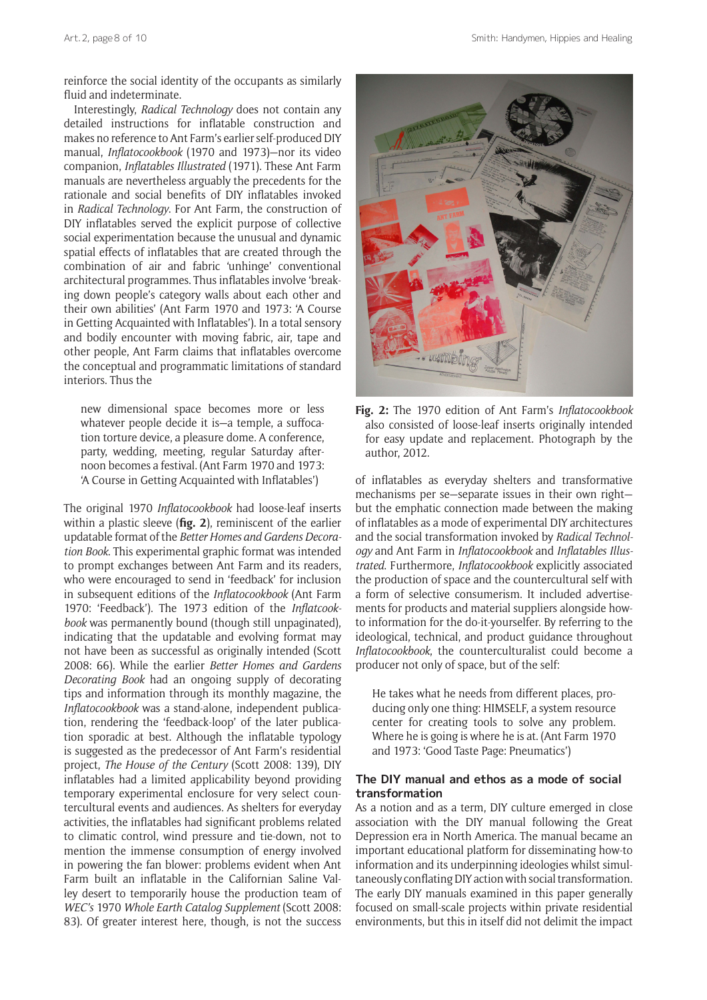reinforce the social identity of the occupants as similarly fluid and indeterminate.

Interestingly, *Radical Technology* does not contain any detailed instructions for inflatable construction and makes no reference to Ant Farm's earlier self-produced DIY manual, *Inflatocookbook* (1970 and 1973)—nor its video companion, *Inflatables Illustrated* (1971). These Ant Farm manuals are nevertheless arguably the precedents for the rationale and social benefits of DIY inflatables invoked in *Radical Technology*. For Ant Farm, the construction of DIY inflatables served the explicit purpose of collective social experimentation because the unusual and dynamic spatial effects of inflatables that are created through the combination of air and fabric 'unhinge' conventional architectural programmes. Thus inflatables involve 'breaking down people's category walls about each other and their own abilities' (Ant Farm 1970 and 1973: 'A Course in Getting Acquainted with Inflatables'). In a total sensory and bodily encounter with moving fabric, air, tape and other people, Ant Farm claims that inflatables overcome the conceptual and programmatic limitations of standard interiors. Thus the

new dimensional space becomes more or less whatever people decide it is—a temple, a suffocation torture device, a pleasure dome. A conference, party, wedding, meeting, regular Saturday afternoon becomes a festival. (Ant Farm 1970 and 1973: 'A Course in Getting Acquainted with Inflatables')

The original 1970 *Inflatocookbook* had loose-leaf inserts within a plastic sleeve (**fig. 2**), reminiscent of the earlier updatable format of the *Better Homes and Gardens Decoration Book*. This experimental graphic format was intended to prompt exchanges between Ant Farm and its readers, who were encouraged to send in 'feedback' for inclusion in subsequent editions of the *Inflatocookbook* (Ant Farm 1970: 'Feedback'). The 1973 edition of the *Inflatcookbook* was permanently bound (though still unpaginated), indicating that the updatable and evolving format may not have been as successful as originally intended (Scott 2008: 66). While the earlier *Better Homes and Gardens Decorating Book* had an ongoing supply of decorating tips and information through its monthly magazine, the *Inflatocookbook* was a stand-alone, independent publication, rendering the 'feedback-loop' of the later publication sporadic at best. Although the inflatable typology is suggested as the predecessor of Ant Farm's residential project, *The House of the Century* (Scott 2008: 139), DIY inflatables had a limited applicability beyond providing temporary experimental enclosure for very select countercultural events and audiences. As shelters for everyday activities, the inflatables had significant problems related to climatic control, wind pressure and tie-down, not to mention the immense consumption of energy involved in powering the fan blower: problems evident when Ant Farm built an inflatable in the Californian Saline Valley desert to temporarily house the production team of *WEC's* 1970 *Whole Earth Catalog Supplement* (Scott 2008: 83). Of greater interest here, though, is not the success



**Fig. 2:** The 1970 edition of Ant Farm's *Inflatocookbook*  also consisted of loose-leaf inserts originally intended for easy update and replacement. Photograph by the author, 2012.

of inflatables as everyday shelters and transformative mechanisms per se—separate issues in their own right but the emphatic connection made between the making of inflatables as a mode of experimental DIY architectures and the social transformation invoked by *Radical Technology* and Ant Farm in *Inflatocookbook* and *Inflatables Illustrated*. Furthermore, *Inflatocookbook* explicitly associated the production of space and the countercultural self with a form of selective consumerism. It included advertisements for products and material suppliers alongside howto information for the do-it-yourselfer. By referring to the ideological, technical, and product guidance throughout *Inflatocookbook*, the counterculturalist could become a producer not only of space, but of the self:

He takes what he needs from different places, producing only one thing: HIMSELF, a system resource center for creating tools to solve any problem. Where he is going is where he is at. (Ant Farm 1970 and 1973: 'Good Taste Page: Pneumatics')

# **The DIY manual and ethos as a mode of social transformation**

As a notion and as a term, DIY culture emerged in close association with the DIY manual following the Great Depression era in North America. The manual became an important educational platform for disseminating how-to information and its underpinning ideologies whilst simultaneously conflating DIY action with social transformation. The early DIY manuals examined in this paper generally focused on small-scale projects within private residential environments, but this in itself did not delimit the impact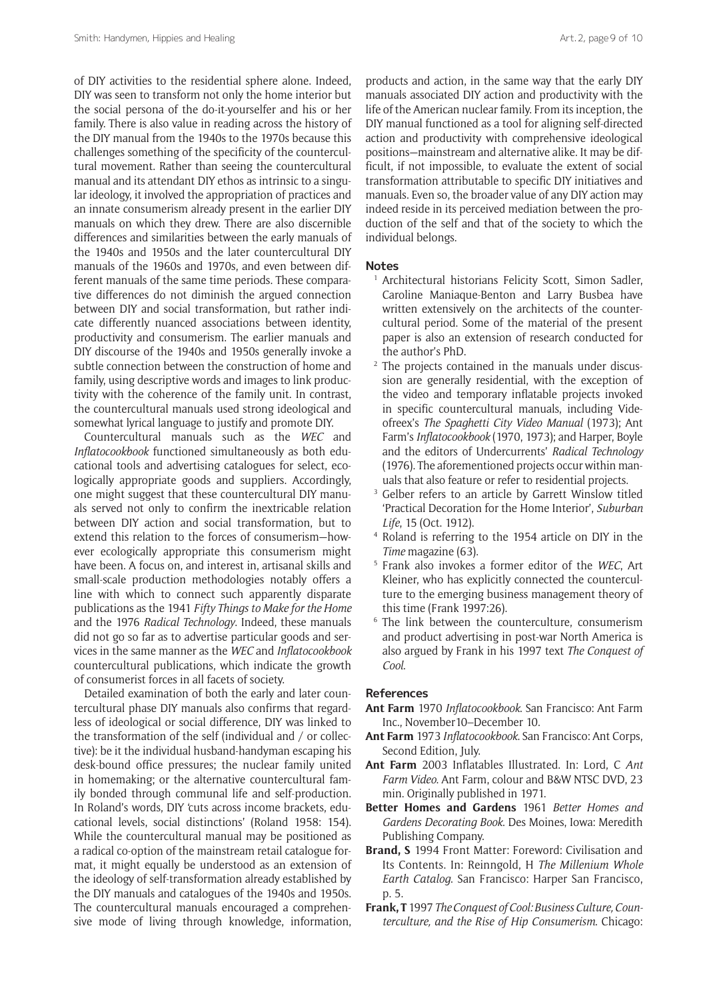of DIY activities to the residential sphere alone. Indeed, DIY was seen to transform not only the home interior but the social persona of the do-it-yourselfer and his or her family. There is also value in reading across the history of the DIY manual from the 1940s to the 1970s because this challenges something of the specificity of the countercultural movement. Rather than seeing the countercultural manual and its attendant DIY ethos as intrinsic to a singular ideology, it involved the appropriation of practices and an innate consumerism already present in the earlier DIY manuals on which they drew. There are also discernible differences and similarities between the early manuals of the 1940s and 1950s and the later countercultural DIY manuals of the 1960s and 1970s, and even between different manuals of the same time periods. These comparative differences do not diminish the argued connection between DIY and social transformation, but rather indicate differently nuanced associations between identity, productivity and consumerism. The earlier manuals and DIY discourse of the 1940s and 1950s generally invoke a subtle connection between the construction of home and family, using descriptive words and images to link productivity with the coherence of the family unit. In contrast, the countercultural manuals used strong ideological and somewhat lyrical language to justify and promote DIY.

Countercultural manuals such as the *WEC* and *Inflatocookbook* functioned simultaneously as both educational tools and advertising catalogues for select, ecologically appropriate goods and suppliers. Accordingly, one might suggest that these countercultural DIY manuals served not only to confirm the inextricable relation between DIY action and social transformation, but to extend this relation to the forces of consumerism—however ecologically appropriate this consumerism might have been. A focus on, and interest in, artisanal skills and small-scale production methodologies notably offers a line with which to connect such apparently disparate publications as the 1941 *Fifty Things to Make for the Home* and the 1976 *Radical Technology*. Indeed, these manuals did not go so far as to advertise particular goods and services in the same manner as the *WEC* and *Inflatocookbook* countercultural publications, which indicate the growth of consumerist forces in all facets of society.

Detailed examination of both the early and later countercultural phase DIY manuals also confirms that regardless of ideological or social difference, DIY was linked to the transformation of the self (individual and / or collective): be it the individual husband-handyman escaping his desk-bound office pressures; the nuclear family united in homemaking; or the alternative countercultural family bonded through communal life and self-production. In Roland's words, DIY 'cuts across income brackets, educational levels, social distinctions' (Roland 1958: 154). While the countercultural manual may be positioned as a radical co-option of the mainstream retail catalogue format, it might equally be understood as an extension of the ideology of self-transformation already established by the DIY manuals and catalogues of the 1940s and 1950s. The countercultural manuals encouraged a comprehensive mode of living through knowledge, information,

products and action, in the same way that the early DIY manuals associated DIY action and productivity with the life of the American nuclear family. From its inception, the DIY manual functioned as a tool for aligning self-directed action and productivity with comprehensive ideological positions—mainstream and alternative alike. It may be difficult, if not impossible, to evaluate the extent of social transformation attributable to specific DIY initiatives and manuals. Even so, the broader value of any DIY action may indeed reside in its perceived mediation between the production of the self and that of the society to which the individual belongs.

#### **Notes**

- <sup>1</sup> Architectural historians Felicity Scott, Simon Sadler, Caroline Maniaque-Benton and Larry Busbea have written extensively on the architects of the countercultural period. Some of the material of the present paper is also an extension of research conducted for the author's PhD.
- <sup>2</sup> The projects contained in the manuals under discussion are generally residential, with the exception of the video and temporary inflatable projects invoked in specific countercultural manuals, including Videofreex's *The Spaghetti City Video Manual* (1973); Ant Farm's *Inflatocookbook* (1970, 1973); and Harper, Boyle and the editors of Undercurrents' *Radical Technology* (1976). The aforementioned projects occur within manuals that also feature or refer to residential projects.
- Gelber refers to an article by Garrett Winslow titled 'Practical Decoration for the Home Interior', *Suburban Life*, 15 (Oct. 1912).
- <sup>4</sup> Roland is referring to the 1954 article on DIY in the *Time* magazine (63). 5 Frank also invokes a former editor of the *WEC*, Art
- Kleiner, who has explicitly connected the counterculture to the emerging business management theory of this time (Frank 1997:26).
- <sup>6</sup> The link between the counterculture, consumerism and product advertising in post-war North America is also argued by Frank in his 1997 text *The Conquest of Cool*.

# **References**

- **Ant Farm** 1970 *Inflatocookbook*. San Francisco: Ant Farm Inc., November10–December 10.
- **Ant Farm** 1973 *Inflatocookbook*. San Francisco: Ant Corps, Second Edition, July.
- **Ant Farm** 2003 Inflatables Illustrated. In: Lord, C *Ant Farm Video*. Ant Farm, colour and B&W NTSC DVD, 23 min. Originally published in 1971.
- **Better Homes and Gardens** 1961 *Better Homes and Gardens Decorating Book*. Des Moines, Iowa: Meredith Publishing Company.
- **Brand, S** 1994 Front Matter: Foreword: Civilisation and Its Contents. In: Reinngold, H *The Millenium Whole Earth Catalog*. San Francisco: Harper San Francisco, p. 5.
- **Frank, T** 1997 *The Conquest of Cool: Business Culture, Counterculture, and the Rise of Hip Consumerism*. Chicago: